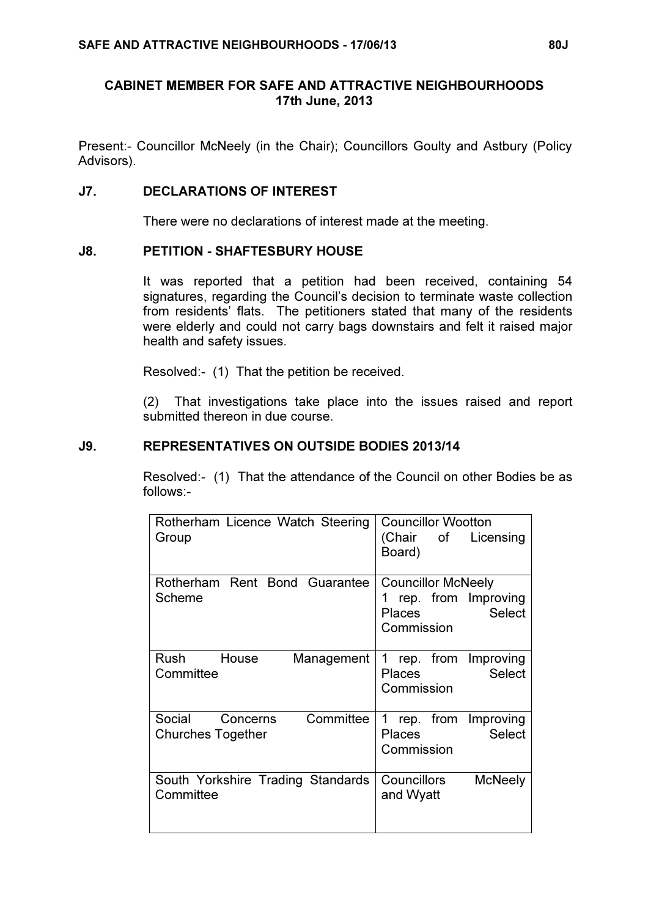## CABINET MEMBER FOR SAFE AND ATTRACTIVE NEIGHBOURHOODS 17th June, 2013

Present:- Councillor McNeely (in the Chair); Councillors Goulty and Astbury (Policy Advisors).

#### J7. DECLARATIONS OF INTEREST

There were no declarations of interest made at the meeting.

#### J8. PETITION - SHAFTESBURY HOUSE

 It was reported that a petition had been received, containing 54 signatures, regarding the Council's decision to terminate waste collection from residents' flats. The petitioners stated that many of the residents were elderly and could not carry bags downstairs and felt it raised major health and safety issues.

Resolved:- (1) That the petition be received.

(2) That investigations take place into the issues raised and report submitted thereon in due course.

#### J9. REPRESENTATIVES ON OUTSIDE BODIES 2013/14

 Resolved:- (1) That the attendance of the Council on other Bodies be as follows:-

| Rotherham Licence Watch Steering  | <b>Councillor Wootton</b>     |
|-----------------------------------|-------------------------------|
| Group                             | (Chair of Licensing           |
|                                   | Board)                        |
|                                   |                               |
| Rotherham Rent Bond Guarantee     | <b>Councillor McNeely</b>     |
| Scheme                            | rep. from Improving           |
|                                   | <b>Select</b><br>Places       |
|                                   | Commission                    |
|                                   |                               |
| Rush House<br>Management          | rep. from Improving<br>1      |
| Committee                         | <b>Select</b><br>Places       |
|                                   | Commission                    |
|                                   |                               |
| Committee<br>Social<br>Concerns   | rep. from<br>Improving<br>1   |
| <b>Churches Together</b>          | <b>Select</b><br>Places       |
|                                   | Commission                    |
|                                   |                               |
| South Yorkshire Trading Standards | Councillors<br><b>McNeely</b> |
| Committee                         | and Wyatt                     |
|                                   |                               |
|                                   |                               |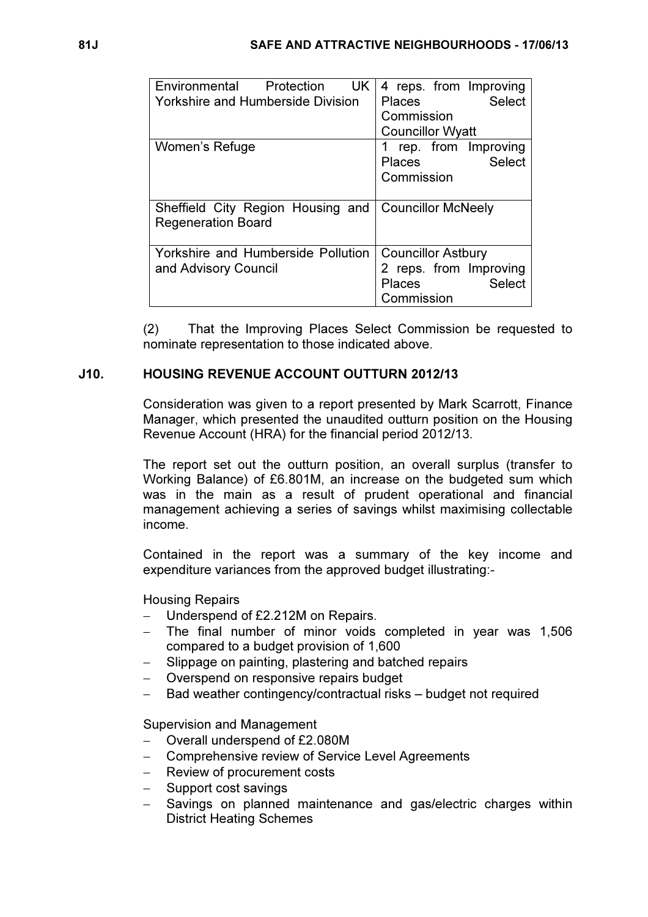| Environmental<br>Protection<br>UK.<br><b>Yorkshire and Humberside Division</b> | 4 reps. from Improving<br><b>Select</b><br><b>Places</b><br>Commission<br><b>Councillor Wyatt</b>   |
|--------------------------------------------------------------------------------|-----------------------------------------------------------------------------------------------------|
| Women's Refuge                                                                 | rep. from Improving<br><b>Select</b><br><b>Places</b><br>Commission                                 |
| Sheffield City Region Housing and<br><b>Regeneration Board</b>                 | <b>Councillor McNeely</b>                                                                           |
| Yorkshire and Humberside Pollution<br>and Advisory Council                     | <b>Councillor Astbury</b><br>2 reps. from Improving<br><b>Select</b><br><b>Places</b><br>Commission |

(2) That the Improving Places Select Commission be requested to nominate representation to those indicated above.

# J10. HOUSING REVENUE ACCOUNT OUTTURN 2012/13

 Consideration was given to a report presented by Mark Scarrott, Finance Manager, which presented the unaudited outturn position on the Housing Revenue Account (HRA) for the financial period 2012/13.

The report set out the outturn position, an overall surplus (transfer to Working Balance) of £6.801M, an increase on the budgeted sum which was in the main as a result of prudent operational and financial management achieving a series of savings whilst maximising collectable income.

Contained in the report was a summary of the key income and expenditure variances from the approved budget illustrating:-

Housing Repairs

- Underspend of £2.212M on Repairs.
- − The final number of minor voids completed in year was 1,506 compared to a budget provision of 1,600
- Slippage on painting, plastering and batched repairs
- − Overspend on responsive repairs budget
- Bad weather contingency/contractual risks budget not required

Supervision and Management

- − Overall underspend of £2.080M
- − Comprehensive review of Service Level Agreements
- − Review of procurement costs
- − Support cost savings
- Savings on planned maintenance and gas/electric charges within District Heating Schemes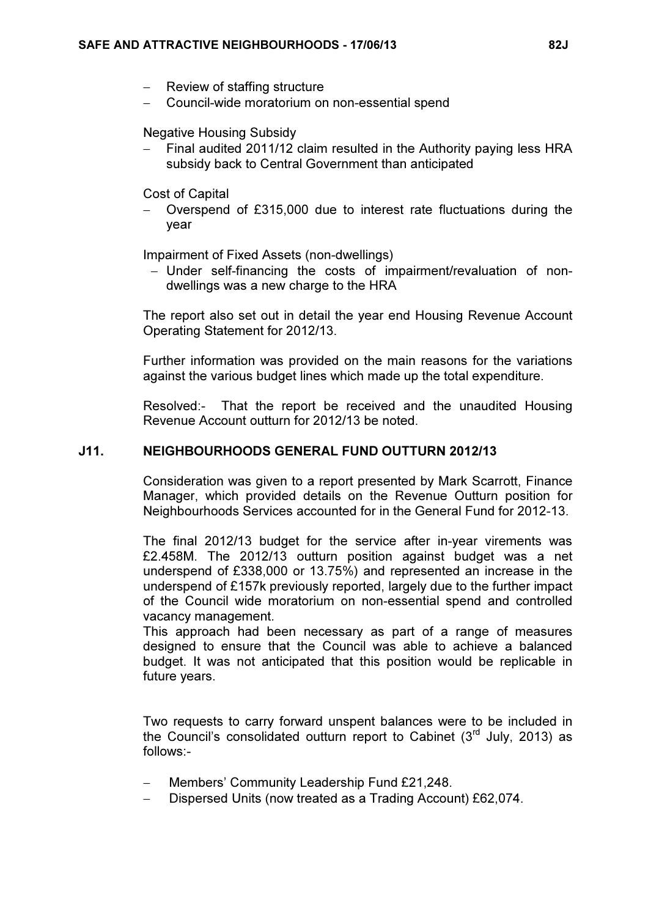- − Review of staffing structure
- − Council-wide moratorium on non-essential spend

#### Negative Housing Subsidy

Final audited 2011/12 claim resulted in the Authority paying less HRA subsidy back to Central Government than anticipated

Cost of Capital

− Overspend of £315,000 due to interest rate fluctuations during the year

Impairment of Fixed Assets (non-dwellings)

− Under self-financing the costs of impairment/revaluation of nondwellings was a new charge to the HRA

The report also set out in detail the year end Housing Revenue Account Operating Statement for 2012/13.

Further information was provided on the main reasons for the variations against the various budget lines which made up the total expenditure.

Resolved:- That the report be received and the unaudited Housing Revenue Account outturn for 2012/13 be noted.

## J11. NEIGHBOURHOODS GENERAL FUND OUTTURN 2012/13

 Consideration was given to a report presented by Mark Scarrott, Finance Manager, which provided details on the Revenue Outturn position for Neighbourhoods Services accounted for in the General Fund for 2012-13.

The final 2012/13 budget for the service after in-year virements was £2.458M. The 2012/13 outturn position against budget was a net underspend of £338,000 or 13.75%) and represented an increase in the underspend of £157k previously reported, largely due to the further impact of the Council wide moratorium on non-essential spend and controlled vacancy management.

This approach had been necessary as part of a range of measures designed to ensure that the Council was able to achieve a balanced budget. It was not anticipated that this position would be replicable in future years.

Two requests to carry forward unspent balances were to be included in the Council's consolidated outturn report to Cabinet  $(3<sup>rd</sup>$  July, 2013) as follows:-

- − Members' Community Leadership Fund £21,248.
- − Dispersed Units (now treated as a Trading Account) £62,074.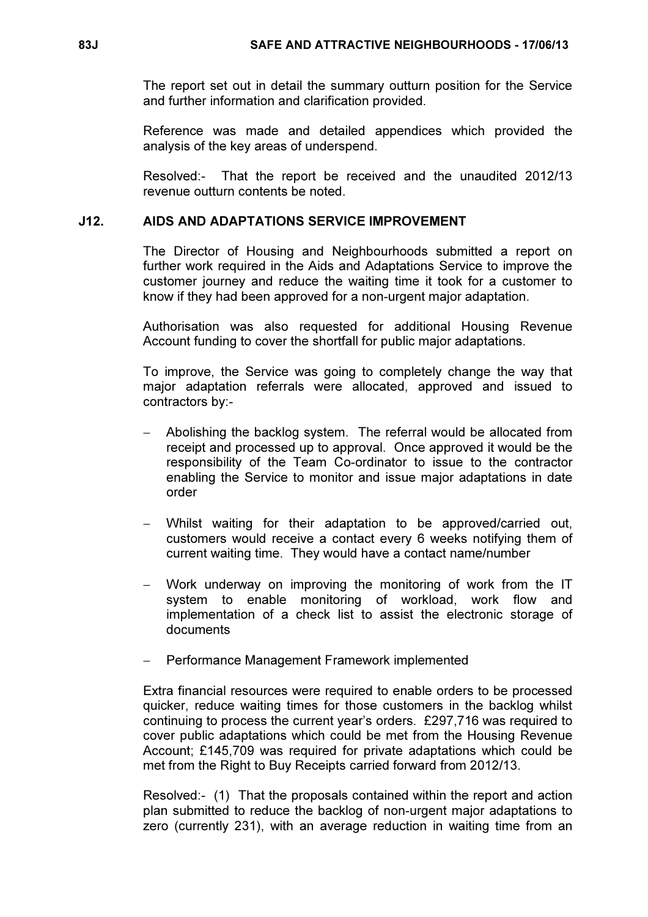The report set out in detail the summary outturn position for the Service and further information and clarification provided.

Reference was made and detailed appendices which provided the analysis of the key areas of underspend.

Resolved:- That the report be received and the unaudited 2012/13 revenue outturn contents be noted.

## J12. AIDS AND ADAPTATIONS SERVICE IMPROVEMENT

 The Director of Housing and Neighbourhoods submitted a report on further work required in the Aids and Adaptations Service to improve the customer journey and reduce the waiting time it took for a customer to know if they had been approved for a non-urgent major adaptation.

Authorisation was also requested for additional Housing Revenue Account funding to cover the shortfall for public major adaptations.

To improve, the Service was going to completely change the way that major adaptation referrals were allocated, approved and issued to contractors by:-

- − Abolishing the backlog system. The referral would be allocated from receipt and processed up to approval. Once approved it would be the responsibility of the Team Co-ordinator to issue to the contractor enabling the Service to monitor and issue major adaptations in date order
- − Whilst waiting for their adaptation to be approved/carried out, customers would receive a contact every 6 weeks notifying them of current waiting time. They would have a contact name/number
- Work underway on improving the monitoring of work from the IT system to enable monitoring of workload, work flow and implementation of a check list to assist the electronic storage of documents
- − Performance Management Framework implemented

Extra financial resources were required to enable orders to be processed quicker, reduce waiting times for those customers in the backlog whilst continuing to process the current year's orders. £297,716 was required to cover public adaptations which could be met from the Housing Revenue Account; £145,709 was required for private adaptations which could be met from the Right to Buy Receipts carried forward from 2012/13.

Resolved:- (1) That the proposals contained within the report and action plan submitted to reduce the backlog of non-urgent major adaptations to zero (currently 231), with an average reduction in waiting time from an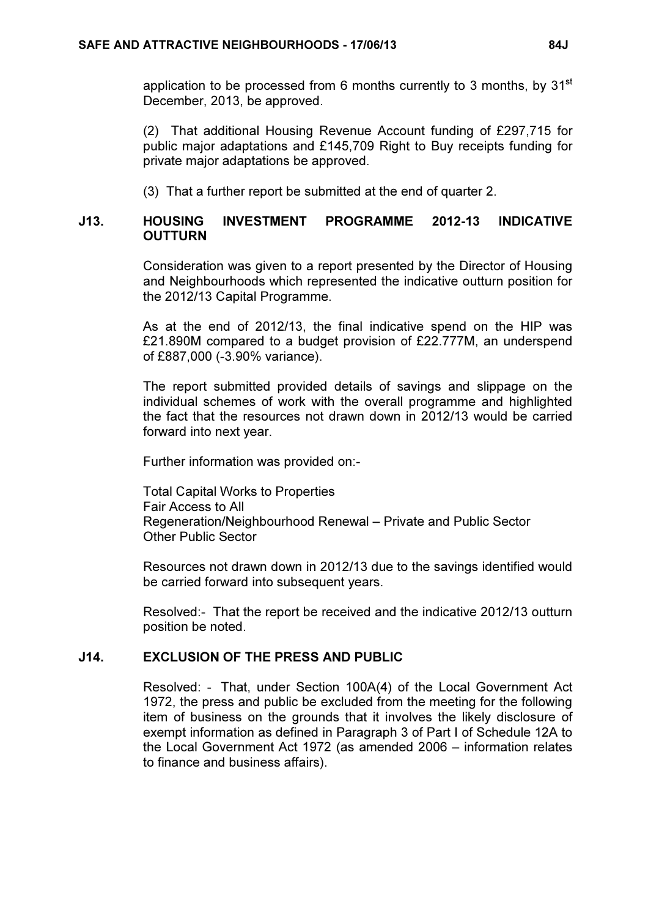application to be processed from 6 months currently to 3 months, by  $31<sup>st</sup>$ December, 2013, be approved.

(2) That additional Housing Revenue Account funding of £297,715 for public major adaptations and £145,709 Right to Buy receipts funding for private major adaptations be approved.

(3) That a further report be submitted at the end of quarter 2.

## J13. HOUSING INVESTMENT PROGRAMME 2012-13 INDICATIVE **OUTTURN**

 Consideration was given to a report presented by the Director of Housing and Neighbourhoods which represented the indicative outturn position for the 2012/13 Capital Programme.

As at the end of 2012/13, the final indicative spend on the HIP was £21.890M compared to a budget provision of £22.777M, an underspend of £887,000 (-3.90% variance).

The report submitted provided details of savings and slippage on the individual schemes of work with the overall programme and highlighted the fact that the resources not drawn down in 2012/13 would be carried forward into next year.

Further information was provided on:-

Total Capital Works to Properties Fair Access to All Regeneration/Neighbourhood Renewal – Private and Public Sector Other Public Sector

Resources not drawn down in 2012/13 due to the savings identified would be carried forward into subsequent years.

Resolved:- That the report be received and the indicative 2012/13 outturn position be noted.

## J14. EXCLUSION OF THE PRESS AND PUBLIC

 Resolved: - That, under Section 100A(4) of the Local Government Act 1972, the press and public be excluded from the meeting for the following item of business on the grounds that it involves the likely disclosure of exempt information as defined in Paragraph 3 of Part I of Schedule 12A to the Local Government Act 1972 (as amended 2006 – information relates to finance and business affairs).